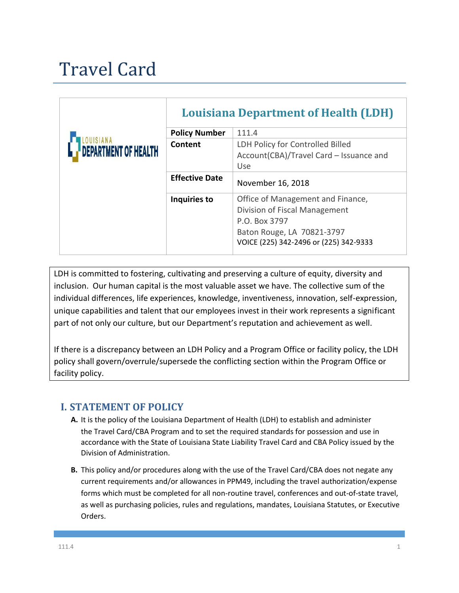# Travel Card

|                      | <b>Louisiana Department of Health (LDH)</b> |                                                                                                                                                             |
|----------------------|---------------------------------------------|-------------------------------------------------------------------------------------------------------------------------------------------------------------|
| DEPARTMENT OF HEALTH | <b>Policy Number</b>                        | 111.4                                                                                                                                                       |
|                      | Content                                     | LDH Policy for Controlled Billed<br>Account(CBA)/Travel Card - Issuance and<br>Use                                                                          |
|                      | <b>Effective Date</b>                       | November 16, 2018                                                                                                                                           |
|                      | Inquiries to                                | Office of Management and Finance,<br>Division of Fiscal Management<br>P.O. Box 3797<br>Baton Rouge, LA 70821-3797<br>VOICE (225) 342-2496 or (225) 342-9333 |

LDH is committed to fostering, cultivating and preserving a culture of equity, diversity and inclusion. Our human capital is the most valuable asset we have. The collective sum of the individual differences, life experiences, knowledge, inventiveness, innovation, self-expression, unique capabilities and talent that our employees invest in their work represents a significant part of not only our culture, but our Department's reputation and achievement as well.

If there is a discrepancy between an LDH Policy and a Program Office or facility policy, the LDH policy shall govern/overrule/supersede the conflicting section within the Program Office or facility policy.

# **I. STATEMENT OF POLICY**

- **A.** It is the policy of the Louisiana Department of Health (LDH) to establish and administer the Travel Card/CBA Program and to set the required standards for possession and use in accordance with the State of Louisiana State Liability Travel Card and CBA Policy issued by the Division of Administration.
- **B.** This policy and/or procedures along with the use of the Travel Card/CBA does not negate any current requirements and/or allowances in PPM49, including the travel authorization/expense forms which must be completed for all non-routine travel, conferences and out-of-state travel, as well as purchasing policies, rules and regulations, mandates, Louisiana Statutes, or Executive Orders.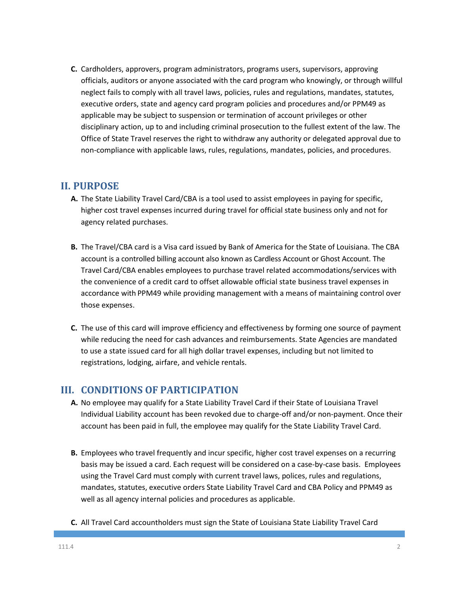**C.** Cardholders, approvers, program administrators, programs users, supervisors, approving officials, auditors or anyone associated with the card program who knowingly, or through willful neglect fails to comply with all travel laws, policies, rules and regulations, mandates, statutes, executive orders, state and agency card program policies and procedures and/or PPM49 as applicable may be subject to suspension or termination of account privileges or other disciplinary action, up to and including criminal prosecution to the fullest extent of the law. The Office of State Travel reserves the right to withdraw any authority or delegated approval due to non-compliance with applicable laws, rules, regulations, mandates, policies, and procedures.

## **II. PURPOSE**

- **A.** The State Liability Travel Card/CBA is a tool used to assist employees in paying for specific, higher cost travel expenses incurred during travel for official state business only and not for agency related purchases.
- **B.** The Travel/CBA card is a Visa card issued by Bank of America for the State of Louisiana. The CBA account is a controlled billing account also known as Cardless Account or Ghost Account. The Travel Card/CBA enables employees to purchase travel related accommodations/services with the convenience of a credit card to offset allowable official state business travel expenses in accordance with PPM49 while providing management with a means of maintaining control over those expenses.
- **C.** The use of this card will improve efficiency and effectiveness by forming one source of payment while reducing the need for cash advances and reimbursements. State Agencies are mandated to use a state issued card for all high dollar travel expenses, including but not limited to registrations, lodging, airfare, and vehicle rentals.

# **III. CONDITIONS OF PARTICIPATION**

- **A.** No employee may qualify for a State Liability Travel Card if their State of Louisiana Travel Individual Liability account has been revoked due to charge-off and/or non-payment. Once their account has been paid in full, the employee may qualify for the State Liability Travel Card.
- **B.** Employees who travel frequently and incur specific, higher cost travel expenses on a recurring basis may be issued a card. Each request will be considered on a case-by-case basis. Employees using the Travel Card must comply with current travel laws, polices, rules and regulations, mandates, statutes, executive orders State Liability Travel Card and CBA Policy and PPM49 as well as all agency internal policies and procedures as applicable.
- **C.** All Travel Card accountholders must sign the State of Louisiana State Liability Travel Card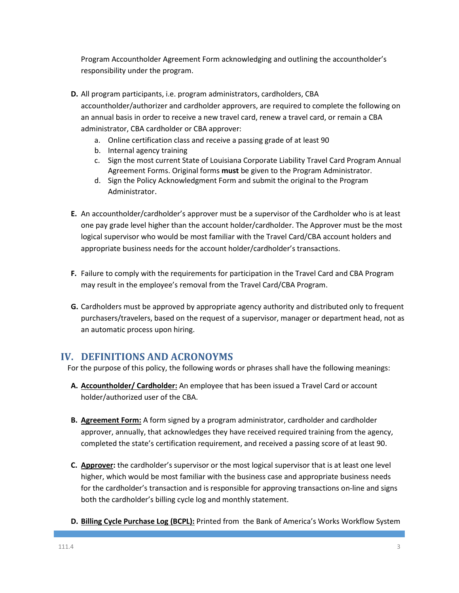Program Accountholder Agreement Form acknowledging and outlining the accountholder's responsibility under the program.

- **D.** All program participants, i.e. program administrators, cardholders, CBA accountholder/authorizer and cardholder approvers, are required to complete the following on an annual basis in order to receive a new travel card, renew a travel card, or remain a CBA administrator, CBA cardholder or CBA approver:
	- a. Online certification class and receive a passing grade of at least 90
	- b. Internal agency training
	- c. Sign the most current State of Louisiana Corporate Liability Travel Card Program Annual Agreement Forms. Original forms **must** be given to the Program Administrator.
	- d. Sign the Policy Acknowledgment Form and submit the original to the Program Administrator.
- **E.** An accountholder/cardholder's approver must be a supervisor of the Cardholder who is at least one pay grade level higher than the account holder/cardholder. The Approver must be the most logical supervisor who would be most familiar with the Travel Card/CBA account holders and appropriate business needs for the account holder/cardholder's transactions.
- **F.** Failure to comply with the requirements for participation in the Travel Card and CBA Program may result in the employee's removal from the Travel Card/CBA Program.
- **G.** Cardholders must be approved by appropriate agency authority and distributed only to frequent purchasers/travelers, based on the request of a supervisor, manager or department head, not as an automatic process upon hiring.

### **IV. DEFINITIONS AND ACRONOYMS**

For the purpose of this policy, the following words or phrases shall have the following meanings:

- **A. Accountholder/ Cardholder:** An employee that has been issued a Travel Card or account holder/authorized user of the CBA.
- **B. Agreement Form:** A form signed by a program administrator, cardholder and cardholder approver, annually, that acknowledges they have received required training from the agency, completed the state's certification requirement, and received a passing score of at least 90.
- **C. Approver:** the cardholder's supervisor or the most logical supervisor that is at least one level higher, which would be most familiar with the business case and appropriate business needs for the cardholder's transaction and is responsible for approving transactions on-line and signs both the cardholder's billing cycle log and monthly statement.
- **D. Billing Cycle Purchase Log (BCPL):** Printed from the Bank of America's Works Workflow System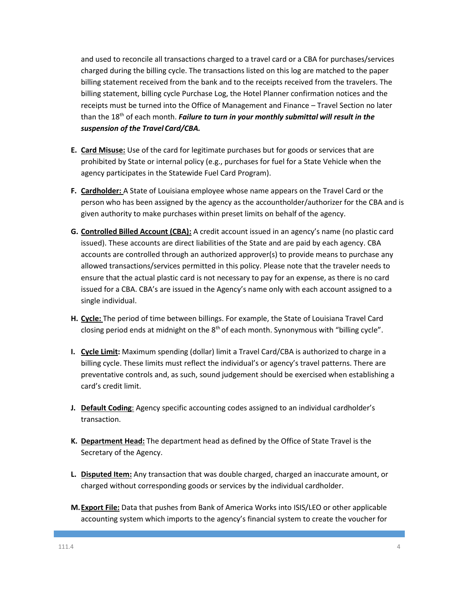and used to reconcile all transactions charged to a travel card or a CBA for purchases/services charged during the billing cycle. The transactions listed on this log are matched to the paper billing statement received from the bank and to the receipts received from the travelers. The billing statement, billing cycle Purchase Log, the Hotel Planner confirmation notices and the receipts must be turned into the Office of Management and Finance – Travel Section no later than the 18th of each month. *Failure to turn in your monthly submittal will result in the suspension of the Travel Card/CBA.*

- **E. Card Misuse:** Use of the card for legitimate purchases but for goods or services that are prohibited by State or internal policy (e.g., purchases for fuel for a State Vehicle when the agency participates in the Statewide Fuel Card Program).
- **F. Cardholder:** A State of Louisiana employee whose name appears on the Travel Card or the person who has been assigned by the agency as the accountholder/authorizer for the CBA and is given authority to make purchases within preset limits on behalf of the agency.
- **G. Controlled Billed Account (CBA):** A credit account issued in an agency's name (no plastic card issued). These accounts are direct liabilities of the State and are paid by each agency. CBA accounts are controlled through an authorized approver(s) to provide means to purchase any allowed transactions/services permitted in this policy. Please note that the traveler needs to ensure that the actual plastic card is not necessary to pay for an expense, as there is no card issued for a CBA. CBA's are issued in the Agency's name only with each account assigned to a single individual.
- **H. Cycle:** The period of time between billings. For example, the State of Louisiana Travel Card closing period ends at midnight on the  $8<sup>th</sup>$  of each month. Synonymous with "billing cycle".
- **I. Cycle Limit:** Maximum spending (dollar) limit a Travel Card/CBA is authorized to charge in a billing cycle. These limits must reflect the individual's or agency's travel patterns. There are preventative controls and, as such, sound judgement should be exercised when establishing a card's credit limit.
- **J. Default Coding**: Agency specific accounting codes assigned to an individual cardholder's transaction.
- **K. Department Head:** The department head as defined by the Office of State Travel is the Secretary of the Agency.
- **L. Disputed Item:** Any transaction that was double charged, charged an inaccurate amount, or charged without corresponding goods or services by the individual cardholder.
- **M.Export File:** Data that pushes from Bank of America Works into ISIS/LEO or other applicable accounting system which imports to the agency's financial system to create the voucher for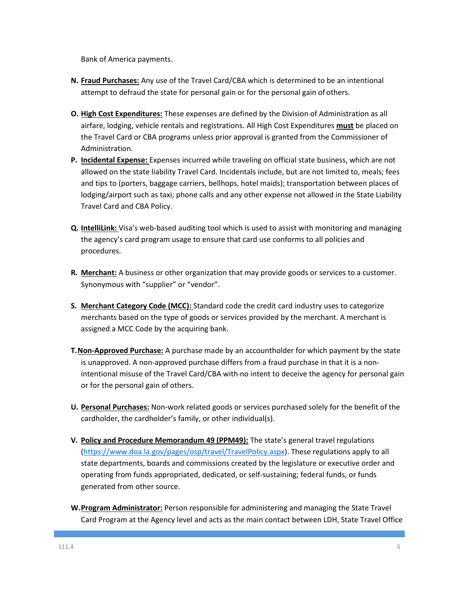Bank of America payments.

- **N. Fraud Purchases:** Any use of the Travel Card/CBA which is determined to be an intentional attempt to defraud the state for personal gain or for the personal gain of others.
- **O. High Cost Expenditures:** These expenses are defined by the Division of Administration as all airfare, lodging, vehicle rentals and registrations. All High Cost Expenditures **must** be placed on the Travel Card or CBA programs unless prior approval is granted from the Commissioner of Administration.
- **P. Incidental Expense:** Expenses incurred while traveling on official state business, which are not allowed on the state liability Travel Card. Incidentals include, but are not limited to, meals; fees and tips to (porters, baggage carriers, bellhops, hotel maids); transportation between places of lodging/airport such as taxi; phone calls and any other expense not allowed in the State Liability Travel Card and CBA Policy.
- **Q. IntelliLink:** Visa's web-based auditing tool which is used to assist with monitoring and managing the agency's card program usage to ensure that card use conforms to all policies and procedures.
- **R. Merchant:** A business or other organization that may provide goods or services to a customer. Synonymous with "supplier" or "vendor".
- **S. Merchant Category Code (MCC):** Standard code the credit card industry uses to categorize merchants based on the type of goods or services provided by the merchant. A merchant is assigned a MCC Code by the acquiring bank.
- **T.Non-Approved Purchase:** A purchase made by an accountholder for which payment by the state is unapproved. A non-approved purchase differs from a fraud purchase in that it is a nonintentional misuse of the Travel Card/CBA with no intent to deceive the agency for personal gain or for the personal gain of others.
- **U. Personal Purchases:** Non-work related goods or services purchased solely for the benefit of the cardholder, the cardholder's family, or other individual(s).
- **V. Policy and Procedure Memorandum 49 (PPM49):** The state's general travel regulations [\(https://www.doa.la.gov/pages/osp/travel/TravelPolicy.aspx\)](https://www.doa.la.gov/pages/osp/travel/TravelPolicy.aspx). These regulations apply to all state departments, boards and commissions created by the legislature or executive order and operating from funds appropriated, dedicated, or self-sustaining; federal funds, or funds generated from other source.
- **W.Program Administrator:** Person responsible for administering and managing the State Travel Card Program at the Agency level and acts as the main contact between LDH, State Travel Office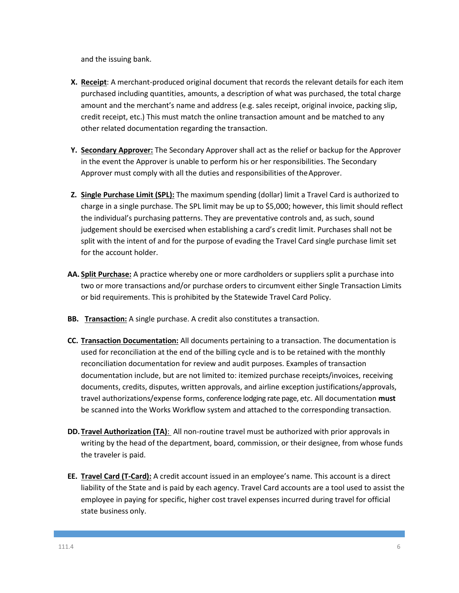and the issuing bank.

- **X. Receipt**: A merchant-produced original document that records the relevant details for each item purchased including quantities, amounts, a description of what was purchased, the total charge amount and the merchant's name and address (e.g. sales receipt, original invoice, packing slip, credit receipt, etc.) This must match the online transaction amount and be matched to any other related documentation regarding the transaction.
- **Y. Secondary Approver:** The Secondary Approver shall act as the relief or backup for the Approver in the event the Approver is unable to perform his or her responsibilities. The Secondary Approver must comply with all the duties and responsibilities of theApprover.
- **Z. Single Purchase Limit (SPL):** The maximum spending (dollar) limit a Travel Card is authorized to charge in a single purchase. The SPL limit may be up to \$5,000; however, this limit should reflect the individual's purchasing patterns. They are preventative controls and, as such, sound judgement should be exercised when establishing a card's credit limit. Purchases shall not be split with the intent of and for the purpose of evading the Travel Card single purchase limit set for the account holder.
- **AA. Split Purchase:** A practice whereby one or more cardholders or suppliers split a purchase into two or more transactions and/or purchase orders to circumvent either Single Transaction Limits or bid requirements. This is prohibited by the Statewide Travel Card Policy.
- **BB. Transaction:** A single purchase. A credit also constitutes a transaction.
- **CC. Transaction Documentation:** All documents pertaining to a transaction. The documentation is used for reconciliation at the end of the billing cycle and is to be retained with the monthly reconciliation documentation for review and audit purposes. Examples of transaction documentation include, but are not limited to: itemized purchase receipts/invoices, receiving documents, credits, disputes, written approvals, and airline exception justifications/approvals, travel authorizations/expense forms, conference lodging rate page, etc. All documentation **must** be scanned into the Works Workflow system and attached to the corresponding transaction.
- **DD. Travel Authorization (TA)**: All non-routine travel must be authorized with prior approvals in writing by the head of the department, board, commission, or their designee, from whose funds the traveler is paid.
- **EE. Travel Card (T-Card):** A credit account issued in an employee's name. This account is a direct liability of the State and is paid by each agency. Travel Card accounts are a tool used to assist the employee in paying for specific, higher cost travel expenses incurred during travel for official state business only.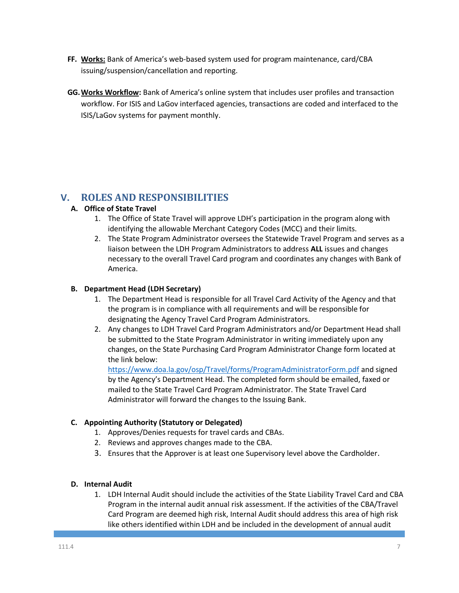- **FF. Works:** Bank of America's web-based system used for program maintenance, card/CBA issuing/suspension/cancellation and reporting.
- **GG.Works Workflow:** Bank of America's online system that includes user profiles and transaction workflow. For ISIS and LaGov interfaced agencies, transactions are coded and interfaced to the ISIS/LaGov systems for payment monthly.

# **V. ROLES AND RESPONSIBILITIES**

#### **A. Office of State Travel**

- 1. The Office of State Travel will approve LDH's participation in the program along with identifying the allowable Merchant Category Codes (MCC) and their limits.
- 2. The State Program Administrator oversees the Statewide Travel Program and serves as a liaison between the LDH Program Administrators to address **ALL** issues and changes necessary to the overall Travel Card program and coordinates any changes with Bank of America.

#### **B. Department Head (LDH Secretary)**

- 1. The Department Head is responsible for all Travel Card Activity of the Agency and that the program is in compliance with all requirements and will be responsible for designating the Agency Travel Card Program Administrators.
- 2. Any changes to LDH Travel Card Program Administrators and/or Department Head shall be submitted to the State Program Administrator in writing immediately upon any changes, on the State Purchasing Card Program Administrator Change form located at the link below:

<https://www.doa.la.gov/osp/Travel/forms/ProgramAdministratorForm.pdf> and signed by the Agency's Department Head. The completed form should be emailed, faxed or mailed to the State Travel Card Program Administrator. The State Travel Card Administrator will forward the changes to the Issuing Bank.

#### **C. Appointing Authority (Statutory or Delegated)**

- 1. Approves/Denies requests for travel cards and CBAs.
- 2. Reviews and approves changes made to the CBA.
- 3. Ensures that the Approver is at least one Supervisory level above the Cardholder.

#### **D. Internal Audit**

1. LDH Internal Audit should include the activities of the State Liability Travel Card and CBA Program in the internal audit annual risk assessment. If the activities of the CBA/Travel Card Program are deemed high risk, Internal Audit should address this area of high risk like others identified within LDH and be included in the development of annual audit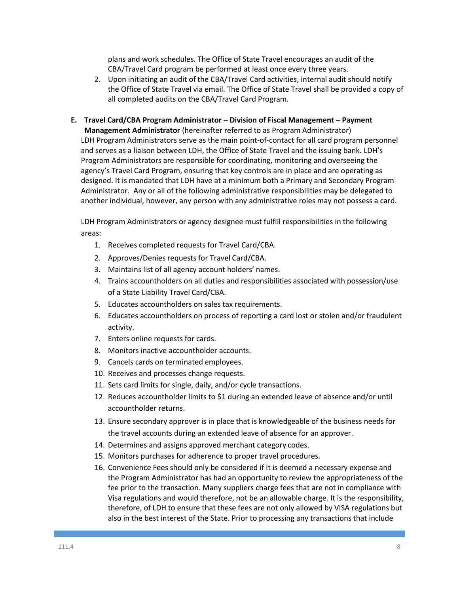plans and work schedules. The Office of State Travel encourages an audit of the CBA/Travel Card program be performed at least once every three years.

- 2. Upon initiating an audit of the CBA/Travel Card activities, internal audit should notify the Office of State Travel via email. The Office of State Travel shall be provided a copy of all completed audits on the CBA/Travel Card Program.
- **E. Travel Card/CBA Program Administrator – Division of Fiscal Management – Payment Management Administrator** (hereinafter referred to as Program Administrator) LDH Program Administrators serve as the main point-of-contact for all card program personnel and serves as a liaison between LDH, the Office of State Travel and the issuing bank. LDH's Program Administrators are responsible for coordinating, monitoring and overseeing the agency's Travel Card Program, ensuring that key controls are in place and are operating as designed. It is mandated that LDH have at a minimum both a Primary and Secondary Program Administrator. Any or all of the following administrative responsibilities may be delegated to another individual, however, any person with any administrative roles may not possess a card.

LDH Program Administrators or agency designee must fulfill responsibilities in the following areas:

- 1. Receives completed requests for Travel Card/CBA.
- 2. Approves/Denies requests for Travel Card/CBA.
- 3. Maintains list of all agency account holders' names.
- 4. Trains accountholders on all duties and responsibilities associated with possession/use of a State Liability Travel Card/CBA.
- 5. Educates accountholders on sales tax requirements.
- 6. Educates accountholders on process of reporting a card lost or stolen and/or fraudulent activity.
- 7. Enters online requests for cards.
- 8. Monitors inactive accountholder accounts.
- 9. Cancels cards on terminated employees.
- 10. Receives and processes change requests.
- 11. Sets card limits for single, daily, and/or cycle transactions.
- 12. Reduces accountholder limits to \$1 during an extended leave of absence and/or until accountholder returns.
- 13. Ensure secondary approver is in place that is knowledgeable of the business needs for the travel accounts during an extended leave of absence for an approver.
- 14. Determines and assigns approved merchant category codes.
- 15. Monitors purchases for adherence to proper travel procedures.
- 16. Convenience Fees should only be considered if it is deemed a necessary expense and the Program Administrator has had an opportunity to review the appropriateness of the fee prior to the transaction. Many suppliers charge fees that are not in compliance with Visa regulations and would therefore, not be an allowable charge. It is the responsibility, therefore, of LDH to ensure that these fees are not only allowed by VISA regulations but also in the best interest of the State. Prior to processing any transactions that include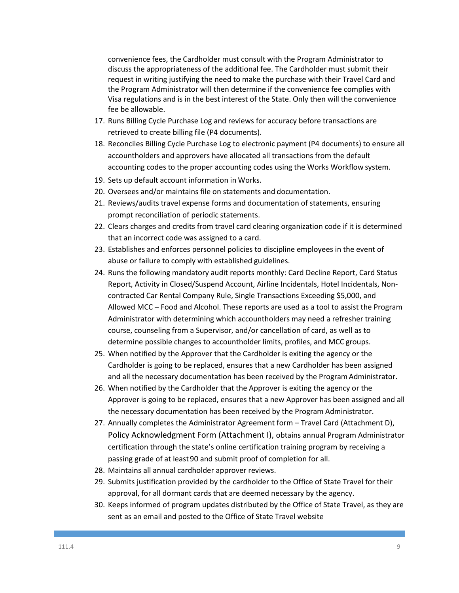convenience fees, the Cardholder must consult with the Program Administrator to discuss the appropriateness of the additional fee. The Cardholder must submit their request in writing justifying the need to make the purchase with their Travel Card and the Program Administrator will then determine if the convenience fee complies with Visa regulations and is in the best interest of the State. Only then will the convenience fee be allowable.

- 17. Runs Billing Cycle Purchase Log and reviews for accuracy before transactions are retrieved to create billing file (P4 documents).
- 18. Reconciles Billing Cycle Purchase Log to electronic payment (P4 documents) to ensure all accountholders and approvers have allocated all transactions from the default accounting codes to the proper accounting codes using the Works Workflow system.
- 19. Sets up default account information in Works.
- 20. Oversees and/or maintains file on statements and documentation.
- 21. Reviews/audits travel expense forms and documentation of statements, ensuring prompt reconciliation of periodic statements.
- 22. Clears charges and credits from travel card clearing organization code if it is determined that an incorrect code was assigned to a card.
- 23. Establishes and enforces personnel policies to discipline employees in the event of abuse or failure to comply with established guidelines.
- 24. Runs the following mandatory audit reports monthly: Card Decline Report, Card Status Report, Activity in Closed/Suspend Account, Airline Incidentals, Hotel Incidentals, Noncontracted Car Rental Company Rule, Single Transactions Exceeding \$5,000, and Allowed MCC – Food and Alcohol. These reports are used as a tool to assist the Program Administrator with determining which accountholders may need a refresher training course, counseling from a Supervisor, and/or cancellation of card, as well as to determine possible changes to accountholder limits, profiles, and MCC groups.
- 25. When notified by the Approver that the Cardholder is exiting the agency or the Cardholder is going to be replaced, ensures that a new Cardholder has been assigned and all the necessary documentation has been received by the Program Administrator.
- 26. When notified by the Cardholder that the Approver is exiting the agency or the Approver is going to be replaced, ensures that a new Approver has been assigned and all the necessary documentation has been received by the Program Administrator.
- 27. Annually completes the Administrator Agreement form Travel Card (Attachment D), Policy Acknowledgment Form (Attachment I), obtains annual Program Administrator certification through the state's online certification training program by receiving a passing grade of at least90 and submit proof of completion for all.
- 28. Maintains all annual cardholder approver reviews.
- 29. Submits justification provided by the cardholder to the Office of State Travel for their approval, for all dormant cards that are deemed necessary by the agency.
- 30. Keeps informed of program updates distributed by the Office of State Travel, as they are sent as an email and posted to the Office of State Travel website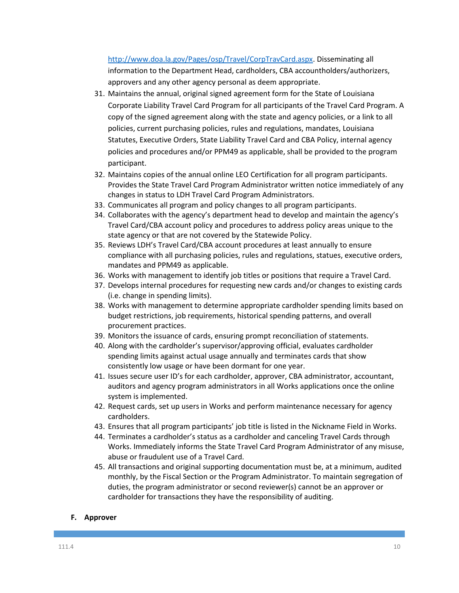[http://www.doa.la.gov/Pages/osp/Travel/CorpTravCard.aspx.](http://www.doa.la.gov/Pages/osp/Travel/CorpTravCard.aspx) Disseminating all information to the Department Head, cardholders, CBA accountholders/authorizers, approvers and any other agency personal as deem appropriate.

- 31. Maintains the annual, original signed agreement form for the State of Louisiana Corporate Liability Travel Card Program for all participants of the Travel Card Program. A copy of the signed agreement along with the state and agency policies, or a link to all policies, current purchasing policies, rules and regulations, mandates, Louisiana Statutes, Executive Orders, State Liability Travel Card and CBA Policy, internal agency policies and procedures and/or PPM49 as applicable, shall be provided to the program participant.
- 32. Maintains copies of the annual online LEO Certification for all program participants. Provides the State Travel Card Program Administrator written notice immediately of any changes in status to LDH Travel Card Program Administrators.
- 33. Communicates all program and policy changes to all program participants.
- 34. Collaborates with the agency's department head to develop and maintain the agency's Travel Card/CBA account policy and procedures to address policy areas unique to the state agency or that are not covered by the Statewide Policy.
- 35. Reviews LDH's Travel Card/CBA account procedures at least annually to ensure compliance with all purchasing policies, rules and regulations, statues, executive orders, mandates and PPM49 as applicable.
- 36. Works with management to identify job titles or positions that require a Travel Card.
- 37. Develops internal procedures for requesting new cards and/or changes to existing cards (i.e. change in spending limits).
- 38. Works with management to determine appropriate cardholder spending limits based on budget restrictions, job requirements, historical spending patterns, and overall procurement practices.
- 39. Monitors the issuance of cards, ensuring prompt reconciliation of statements.
- 40. Along with the cardholder's supervisor/approving official, evaluates cardholder spending limits against actual usage annually and terminates cards that show consistently low usage or have been dormant for one year.
- 41. Issues secure user ID's for each cardholder, approver, CBA administrator, accountant, auditors and agency program administrators in all Works applications once the online system is implemented.
- 42. Request cards, set up users in Works and perform maintenance necessary for agency cardholders.
- 43. Ensures that all program participants' job title is listed in the Nickname Field in Works.
- 44. Terminates a cardholder's status as a cardholder and canceling Travel Cards through Works. Immediately informs the State Travel Card Program Administrator of any misuse, abuse or fraudulent use of a Travel Card.
- 45. All transactions and original supporting documentation must be, at a minimum, audited monthly, by the Fiscal Section or the Program Administrator. To maintain segregation of duties, the program administrator or second reviewer(s) cannot be an approver or cardholder for transactions they have the responsibility of auditing.

#### **F. Approver**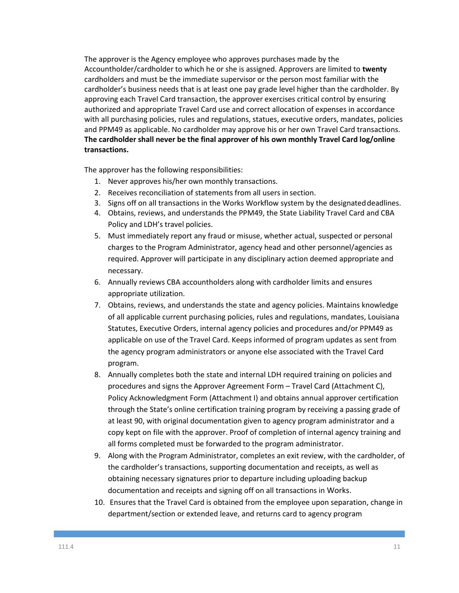The approver is the Agency employee who approves purchases made by the Accountholder/cardholder to which he or she is assigned. Approvers are limited to **twenty**  cardholders and must be the immediate supervisor or the person most familiar with the cardholder's business needs that is at least one pay grade level higher than the cardholder. By approving each Travel Card transaction, the approver exercises critical control by ensuring authorized and appropriate Travel Card use and correct allocation of expenses in accordance with all purchasing policies, rules and regulations, statues, executive orders, mandates, policies and PPM49 as applicable. No cardholder may approve his or her own Travel Card transactions. **The cardholder shall never be the final approver of his own monthly Travel Card log/online transactions.**

The approver has the following responsibilities:

- 1. Never approves his/her own monthly transactions.
- 2. Receives reconciliation of statements from all users in section.
- 3. Signs off on all transactions in the Works Workflow system by the designateddeadlines.
- 4. Obtains, reviews, and understands the PPM49, the State Liability Travel Card and CBA Policy and LDH's travel policies.
- 5. Must immediately report any fraud or misuse, whether actual, suspected or personal charges to the Program Administrator, agency head and other personnel/agencies as required. Approver will participate in any disciplinary action deemed appropriate and necessary.
- 6. Annually reviews CBA accountholders along with cardholder limits and ensures appropriate utilization.
- 7. Obtains, reviews, and understands the state and agency policies. Maintains knowledge of all applicable current purchasing policies, rules and regulations, mandates, Louisiana Statutes, Executive Orders, internal agency policies and procedures and/or PPM49 as applicable on use of the Travel Card. Keeps informed of program updates as sent from the agency program administrators or anyone else associated with the Travel Card program.
- 8. Annually completes both the state and internal LDH required training on policies and procedures and signs the Approver Agreement Form – Travel Card (Attachment C), Policy Acknowledgment Form (Attachment I) and obtains annual approver certification through the State's online certification training program by receiving a passing grade of at least 90, with original documentation given to agency program administrator and a copy kept on file with the approver. Proof of completion of internal agency training and all forms completed must be forwarded to the program administrator.
- 9. Along with the Program Administrator, completes an exit review, with the cardholder, of the cardholder's transactions, supporting documentation and receipts, as well as obtaining necessary signatures prior to departure including uploading backup documentation and receipts and signing off on all transactions in Works.
- 10. Ensures that the Travel Card is obtained from the employee upon separation, change in department/section or extended leave, and returns card to agency program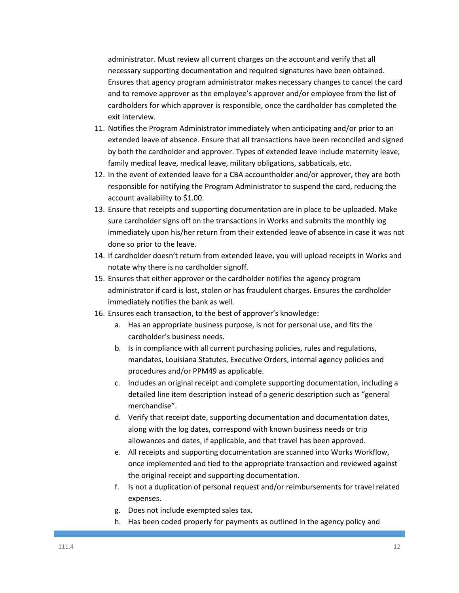administrator. Must review all current charges on the account and verify that all necessary supporting documentation and required signatures have been obtained. Ensures that agency program administrator makes necessary changes to cancel the card and to remove approver as the employee's approver and/or employee from the list of cardholders for which approver is responsible, once the cardholder has completed the exit interview.

- 11. Notifies the Program Administrator immediately when anticipating and/or prior to an extended leave of absence. Ensure that all transactions have been reconciled and signed by both the cardholder and approver. Types of extended leave include maternity leave, family medical leave, medical leave, military obligations, sabbaticals, etc.
- 12. In the event of extended leave for a CBA accountholder and/or approver, they are both responsible for notifying the Program Administrator to suspend the card, reducing the account availability to \$1.00.
- 13. Ensure that receipts and supporting documentation are in place to be uploaded. Make sure cardholder signs off on the transactions in Works and submits the monthly log immediately upon his/her return from their extended leave of absence in case it was not done so prior to the leave.
- 14. If cardholder doesn't return from extended leave, you will upload receipts in Works and notate why there is no cardholder signoff.
- 15. Ensures that either approver or the cardholder notifies the agency program administrator if card is lost, stolen or has fraudulent charges. Ensures the cardholder immediately notifies the bank as well.
- 16. Ensures each transaction, to the best of approver's knowledge:
	- a. Has an appropriate business purpose, is not for personal use, and fits the cardholder's business needs.
	- b. Is in compliance with all current purchasing policies, rules and regulations, mandates, Louisiana Statutes, Executive Orders, internal agency policies and procedures and/or PPM49 as applicable.
	- c. Includes an original receipt and complete supporting documentation, including a detailed line item description instead of a generic description such as "general merchandise".
	- d. Verify that receipt date, supporting documentation and documentation dates, along with the log dates, correspond with known business needs or trip allowances and dates, if applicable, and that travel has been approved.
	- e. All receipts and supporting documentation are scanned into Works Workflow, once implemented and tied to the appropriate transaction and reviewed against the original receipt and supporting documentation.
	- f. Is not a duplication of personal request and/or reimbursements for travel related expenses.
	- g. Does not include exempted sales tax.
	- h. Has been coded properly for payments as outlined in the agency policy and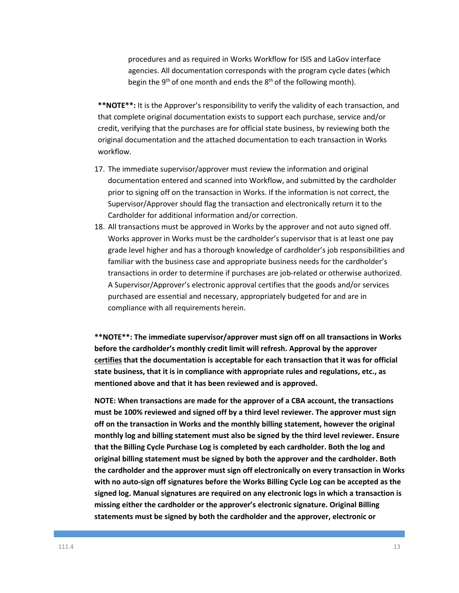procedures and as required in Works Workflow for ISIS and LaGov interface agencies. All documentation corresponds with the program cycle dates (which begin the  $9<sup>th</sup>$  of one month and ends the  $8<sup>th</sup>$  of the following month).

**\*\*NOTE\*\*:** It is the Approver's responsibility to verify the validity of each transaction, and that complete original documentation exists to support each purchase, service and/or credit, verifying that the purchases are for official state business, by reviewing both the original documentation and the attached documentation to each transaction in Works workflow.

- 17. The immediate supervisor/approver must review the information and original documentation entered and scanned into Workflow, and submitted by the cardholder prior to signing off on the transaction in Works. If the information is not correct, the Supervisor/Approver should flag the transaction and electronically return it to the Cardholder for additional information and/or correction.
- 18. All transactions must be approved in Works by the approver and not auto signed off. Works approver in Works must be the cardholder's supervisor that is at least one pay grade level higher and has a thorough knowledge of cardholder's job responsibilities and familiar with the business case and appropriate business needs for the cardholder's transactions in order to determine if purchases are job-related or otherwise authorized. A Supervisor/Approver's electronic approval certifies that the goods and/or services purchased are essential and necessary, appropriately budgeted for and are in compliance with all requirements herein.

**\*\*NOTE\*\*: The immediate supervisor/approver must sign off on all transactions in Works before the cardholder's monthly credit limit will refresh. Approval by the approver certifies that the documentation is acceptable for each transaction that it was for official state business, that it is in compliance with appropriate rules and regulations, etc., as mentioned above and that it has been reviewed and is approved.** 

**NOTE: When transactions are made for the approver of a CBA account, the transactions must be 100% reviewed and signed off by a third level reviewer. The approver must sign off on the transaction in Works and the monthly billing statement, however the original monthly log and billing statement must also be signed by the third level reviewer. Ensure that the Billing Cycle Purchase Log is completed by each cardholder. Both the log and original billing statement must be signed by both the approver and the cardholder. Both the cardholder and the approver must sign off electronically on every transaction in Works with no auto-sign off signatures before the Works Billing Cycle Log can be accepted as the signed log. Manual signatures are required on any electronic logs in which a transaction is missing either the cardholder or the approver's electronic signature. Original Billing statements must be signed by both the cardholder and the approver, electronic or**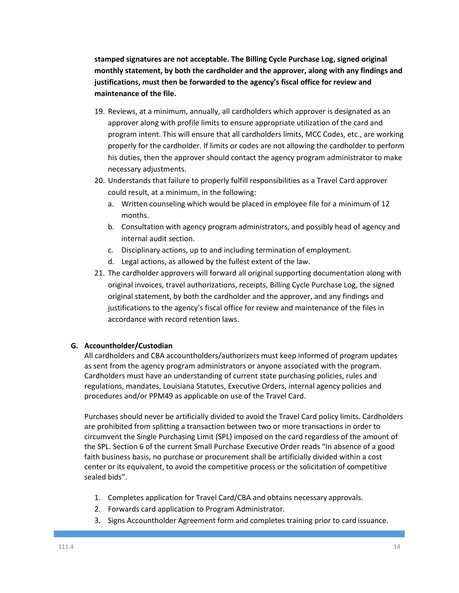**stamped signatures are not acceptable. The Billing Cycle Purchase Log, signed original monthly statement, by both the cardholder and the approver, along with any findings and justifications, must then be forwarded to the agency's fiscal office for review and maintenance of the file.** 

- 19. Reviews, at a minimum, annually, all cardholders which approver is designated as an approver along with profile limits to ensure appropriate utilization of the card and program intent. This will ensure that all cardholders limits, MCC Codes, etc., are working properly for the cardholder. If limits or codes are not allowing the cardholder to perform his duties, then the approver should contact the agency program administrator to make necessary adjustments.
- 20. Understands that failure to properly fulfill responsibilities as a Travel Card approver could result, at a minimum, in the following:
	- a. Written counseling which would be placed in employee file for a minimum of 12 months.
	- b. Consultation with agency program administrators, and possibly head of agency and internal audit section.
	- c. Disciplinary actions, up to and including termination of employment.
	- d. Legal actions, as allowed by the fullest extent of the law.
- 21. The cardholder approvers will forward all original supporting documentation along with original invoices, travel authorizations, receipts, Billing Cycle Purchase Log, the signed original statement, by both the cardholder and the approver, and any findings and justifications to the agency's fiscal office for review and maintenance of the files in accordance with record retention laws.

#### **G. Accountholder/Custodian**

All cardholders and CBA accountholders/authorizers must keep informed of program updates as sent from the agency program administrators or anyone associated with the program. Cardholders must have an understanding of current state purchasing policies, rules and regulations, mandates, Louisiana Statutes, Executive Orders, internal agency policies and procedures and/or PPM49 as applicable on use of the Travel Card.

Purchases should never be artificially divided to avoid the Travel Card policy limits. Cardholders are prohibited from splitting a transaction between two or more transactions in order to circumvent the Single Purchasing Limit (SPL) imposed on the card regardless of the amount of the SPL. Section 6 of the current Small Purchase Executive Order reads "In absence of a good faith business basis, no purchase or procurement shall be artificially divided within a cost center or its equivalent, to avoid the competitive process or the solicitation of competitive sealed bids".

- 1. Completes application for Travel Card/CBA and obtains necessary approvals.
- 2. Forwards card application to Program Administrator.
- 3. Signs Accountholder Agreement form and completes training prior to card issuance.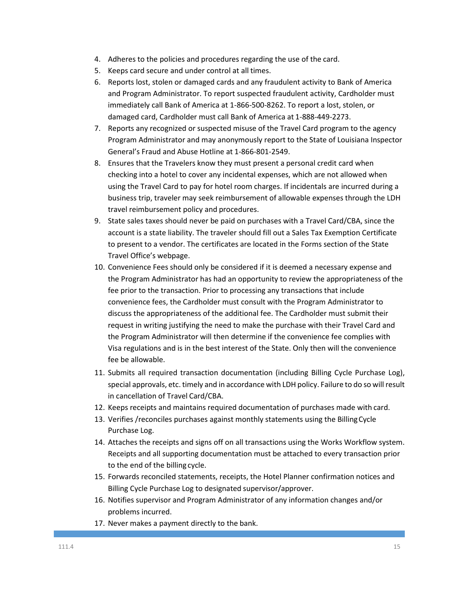- 4. Adheres to the policies and procedures regarding the use of the card.
- 5. Keeps card secure and under control at all times.
- 6. Reports lost, stolen or damaged cards and any fraudulent activity to Bank of America and Program Administrator. To report suspected fraudulent activity, Cardholder must immediately call Bank of America at 1-866-500-8262. To report a lost, stolen, or damaged card, Cardholder must call Bank of America at 1-888-449-2273.
- 7. Reports any recognized or suspected misuse of the Travel Card program to the agency Program Administrator and may anonymously report to the State of Louisiana Inspector General's Fraud and Abuse Hotline at 1-866-801-2549.
- 8. Ensures that the Travelers know they must present a personal credit card when checking into a hotel to cover any incidental expenses, which are not allowed when using the Travel Card to pay for hotel room charges. If incidentals are incurred during a business trip, traveler may seek reimbursement of allowable expenses through the LDH travel reimbursement policy and procedures.
- 9. State sales taxes should never be paid on purchases with a Travel Card/CBA, since the account is a state liability. The traveler should fill out a Sales Tax Exemption Certificate to present to a vendor. The certificates are located in the Forms section of the State Travel Office's webpage.
- 10. Convenience Fees should only be considered if it is deemed a necessary expense and the Program Administrator has had an opportunity to review the appropriateness of the fee prior to the transaction. Prior to processing any transactions that include convenience fees, the Cardholder must consult with the Program Administrator to discuss the appropriateness of the additional fee. The Cardholder must submit their request in writing justifying the need to make the purchase with their Travel Card and the Program Administrator will then determine if the convenience fee complies with Visa regulations and is in the best interest of the State. Only then will the convenience fee be allowable.
- 11. Submits all required transaction documentation (including Billing Cycle Purchase Log), special approvals, etc. timely and in accordance with LDH policy. Failure to do so will result in cancellation of Travel Card/CBA.
- 12. Keeps receipts and maintains required documentation of purchases made with card.
- 13. Verifies /reconciles purchases against monthly statements using the BillingCycle Purchase Log.
- 14. Attaches the receipts and signs off on all transactions using the Works Workflow system. Receipts and all supporting documentation must be attached to every transaction prior to the end of the billing cycle.
- 15. Forwards reconciled statements, receipts, the Hotel Planner confirmation notices and Billing Cycle Purchase Log to designated supervisor/approver.
- 16. Notifies supervisor and Program Administrator of any information changes and/or problems incurred.
- 17. Never makes a payment directly to the bank.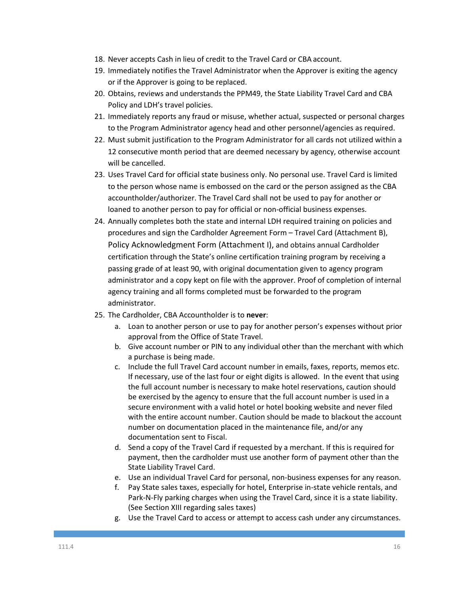- 18. Never accepts Cash in lieu of credit to the Travel Card or CBA account.
- 19. Immediately notifies the Travel Administrator when the Approver is exiting the agency or if the Approver is going to be replaced.
- 20. Obtains, reviews and understands the PPM49, the State Liability Travel Card and CBA Policy and LDH's travel policies.
- 21. Immediately reports any fraud or misuse, whether actual, suspected or personal charges to the Program Administrator agency head and other personnel/agencies as required.
- 22. Must submit justification to the Program Administrator for all cards not utilized within a 12 consecutive month period that are deemed necessary by agency, otherwise account will be cancelled.
- 23. Uses Travel Card for official state business only. No personal use. Travel Card is limited to the person whose name is embossed on the card or the person assigned as the CBA accountholder/authorizer. The Travel Card shall not be used to pay for another or loaned to another person to pay for official or non-official business expenses.
- 24. Annually completes both the state and internal LDH required training on policies and procedures and sign the Cardholder Agreement Form – Travel Card (Attachment B), Policy Acknowledgment Form (Attachment I), and obtains annual Cardholder certification through the State's online certification training program by receiving a passing grade of at least 90, with original documentation given to agency program administrator and a copy kept on file with the approver. Proof of completion of internal agency training and all forms completed must be forwarded to the program administrator.
- 25. The Cardholder, CBA Accountholder is to **never**:
	- a. Loan to another person or use to pay for another person's expenses without prior approval from the Office of State Travel.
	- b. Give account number or PIN to any individual other than the merchant with which a purchase is being made.
	- c. Include the full Travel Card account number in emails, faxes, reports, memos etc. If necessary, use of the last four or eight digits is allowed. In the event that using the full account number is necessary to make hotel reservations, caution should be exercised by the agency to ensure that the full account number is used in a secure environment with a valid hotel or hotel booking website and never filed with the entire account number. Caution should be made to blackout the account number on documentation placed in the maintenance file, and/or any documentation sent to Fiscal.
	- d. Send a copy of the Travel Card if requested by a merchant. If this is required for payment, then the cardholder must use another form of payment other than the State Liability Travel Card.
	- e. Use an individual Travel Card for personal, non-business expenses for any reason.
	- f. Pay State sales taxes, especially for hotel, Enterprise in-state vehicle rentals, and Park-N-Fly parking charges when using the Travel Card, since it is a state liability. (See Section XIII regarding sales taxes)
	- g. Use the Travel Card to access or attempt to access cash under any circumstances.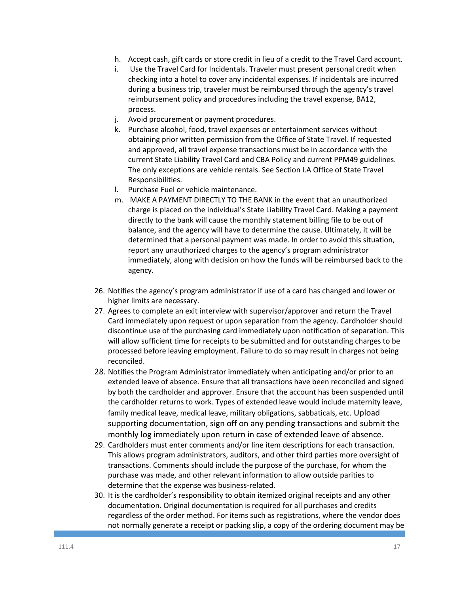- h. Accept cash, gift cards or store credit in lieu of a credit to the Travel Card account.
- i. Use the Travel Card for Incidentals. Traveler must present personal credit when checking into a hotel to cover any incidental expenses. If incidentals are incurred during a business trip, traveler must be reimbursed through the agency's travel reimbursement policy and procedures including the travel expense, BA12, process.
- j. Avoid procurement or payment procedures.
- k. Purchase alcohol, food, travel expenses or entertainment services without obtaining prior written permission from the Office of State Travel. If requested and approved, all travel expense transactions must be in accordance with the current State Liability Travel Card and CBA Policy and current PPM49 guidelines. The only exceptions are vehicle rentals. See Section I.A Office of State Travel Responsibilities.
- l. Purchase Fuel or vehicle maintenance.
- m. MAKE A PAYMENT DIRECTLY TO THE BANK in the event that an unauthorized charge is placed on the individual's State Liability Travel Card. Making a payment directly to the bank will cause the monthly statement billing file to be out of balance, and the agency will have to determine the cause. Ultimately, it will be determined that a personal payment was made. In order to avoid this situation, report any unauthorized charges to the agency's program administrator immediately, along with decision on how the funds will be reimbursed back to the agency.
- 26. Notifies the agency's program administrator if use of a card has changed and lower or higher limits are necessary.
- 27. Agrees to complete an exit interview with supervisor/approver and return the Travel Card immediately upon request or upon separation from the agency. Cardholder should discontinue use of the purchasing card immediately upon notification of separation. This will allow sufficient time for receipts to be submitted and for outstanding charges to be processed before leaving employment. Failure to do so may result in charges not being reconciled.
- 28. Notifies the Program Administrator immediately when anticipating and/or prior to an extended leave of absence. Ensure that all transactions have been reconciled and signed by both the cardholder and approver. Ensure that the account has been suspended until the cardholder returns to work. Types of extended leave would include maternity leave, family medical leave, medical leave, military obligations, sabbaticals, etc. Upload supporting documentation, sign off on any pending transactions and submit the monthly log immediately upon return in case of extended leave of absence.
- 29. Cardholders must enter comments and/or line item descriptions for each transaction. This allows program administrators, auditors, and other third parties more oversight of transactions. Comments should include the purpose of the purchase, for whom the purchase was made, and other relevant information to allow outside parities to determine that the expense was business-related.
- 30. It is the cardholder's responsibility to obtain itemized original receipts and any other documentation. Original documentation is required for all purchases and credits regardless of the order method. For items such as registrations, where the vendor does not normally generate a receipt or packing slip, a copy of the ordering document may be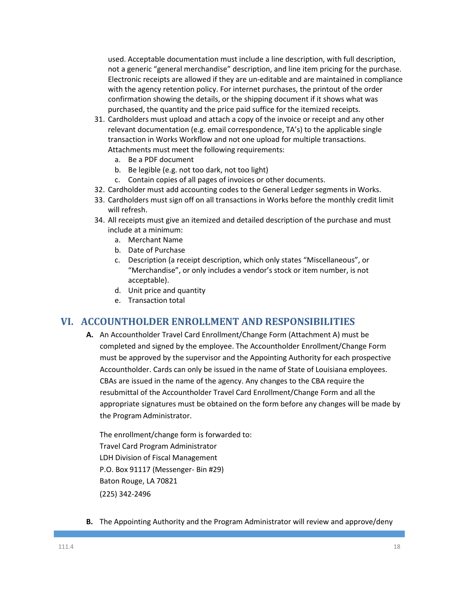used. Acceptable documentation must include a line description, with full description, not a generic "general merchandise" description, and line item pricing for the purchase. Electronic receipts are allowed if they are un-editable and are maintained in compliance with the agency retention policy. For internet purchases, the printout of the order confirmation showing the details, or the shipping document if it shows what was purchased, the quantity and the price paid suffice for the itemized receipts.

- 31. Cardholders must upload and attach a copy of the invoice or receipt and any other relevant documentation (e.g. email correspondence, TA's) to the applicable single transaction in Works Workflow and not one upload for multiple transactions. Attachments must meet the following requirements:
	- a. Be a PDF document
	- b. Be legible (e.g. not too dark, not too light)
	- c. Contain copies of all pages of invoices or other documents.
- 32. Cardholder must add accounting codes to the General Ledger segments in Works.
- 33. Cardholders must sign off on all transactions in Works before the monthly credit limit will refresh.
- 34. All receipts must give an itemized and detailed description of the purchase and must include at a minimum:
	- a. Merchant Name
	- b. Date of Purchase
	- c. Description (a receipt description, which only states "Miscellaneous", or "Merchandise", or only includes a vendor's stock or item number, is not acceptable).
	- d. Unit price and quantity
	- e. Transaction total

# **VI. ACCOUNTHOLDER ENROLLMENT AND RESPONSIBILITIES**

**A.** An Accountholder Travel Card Enrollment/Change Form (Attachment A) must be completed and signed by the employee. The Accountholder Enrollment/Change Form must be approved by the supervisor and the Appointing Authority for each prospective Accountholder. Cards can only be issued in the name of State of Louisiana employees. CBAs are issued in the name of the agency. Any changes to the CBA require the resubmittal of the Accountholder Travel Card Enrollment/Change Form and all the appropriate signatures must be obtained on the form before any changes will be made by the Program Administrator.

The enrollment/change form is forwarded to: Travel Card Program Administrator LDH Division of Fiscal Management P.O. Box 91117 (Messenger- Bin #29) Baton Rouge, LA 70821 (225) 342-2496

**B.** The Appointing Authority and the Program Administrator will review and approve/deny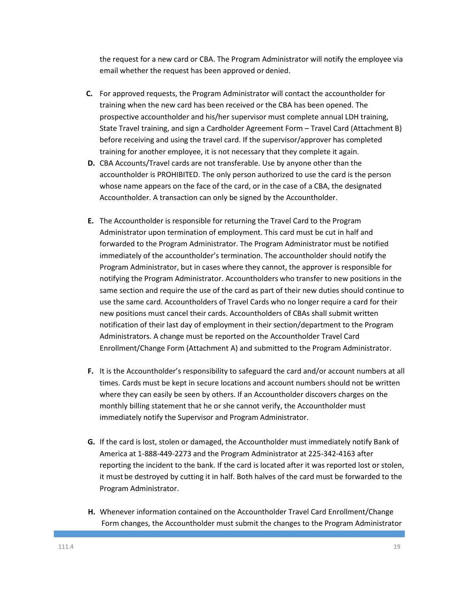the request for a new card or CBA. The Program Administrator will notify the employee via email whether the request has been approved or denied.

- **C.** For approved requests, the Program Administrator will contact the accountholder for training when the new card has been received or the CBA has been opened. The prospective accountholder and his/her supervisor must complete annual LDH training, State Travel training, and sign a Cardholder Agreement Form – Travel Card (Attachment B) before receiving and using the travel card. If the supervisor/approver has completed training for another employee, it is not necessary that they complete it again.
- **D.** CBA Accounts/Travel cards are not transferable. Use by anyone other than the accountholder is PROHIBITED. The only person authorized to use the card is the person whose name appears on the face of the card, or in the case of a CBA, the designated Accountholder. A transaction can only be signed by the Accountholder.
- **E.** The Accountholder is responsible for returning the Travel Card to the Program Administrator upon termination of employment. This card must be cut in half and forwarded to the Program Administrator. The Program Administrator must be notified immediately of the accountholder's termination. The accountholder should notify the Program Administrator, but in cases where they cannot, the approver is responsible for notifying the Program Administrator. Accountholders who transfer to new positions in the same section and require the use of the card as part of their new duties should continue to use the same card. Accountholders of Travel Cards who no longer require a card for their new positions must cancel their cards. Accountholders of CBAs shall submit written notification of their last day of employment in their section/department to the Program Administrators. A change must be reported on the Accountholder Travel Card Enrollment/Change Form (Attachment A) and submitted to the Program Administrator.
- **F.** It is the Accountholder's responsibility to safeguard the card and/or account numbers at all times. Cards must be kept in secure locations and account numbers should not be written where they can easily be seen by others. If an Accountholder discovers charges on the monthly billing statement that he or she cannot verify, the Accountholder must immediately notify the Supervisor and Program Administrator.
- **G.** If the card is lost, stolen or damaged, the Accountholder must immediately notify Bank of America at 1-888-449-2273 and the Program Administrator at 225-342-4163 after reporting the incident to the bank. If the card is located after it was reported lost or stolen, it must be destroyed by cutting it in half. Both halves of the card must be forwarded to the Program Administrator.
- **H.** Whenever information contained on the Accountholder Travel Card Enrollment/Change Form changes, the Accountholder must submit the changes to the Program Administrator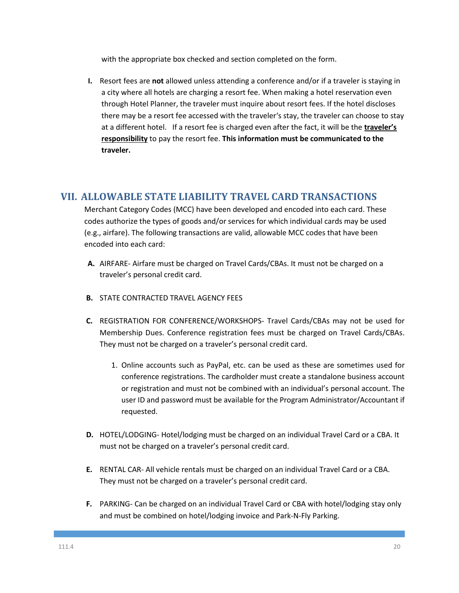with the appropriate box checked and section completed on the form.

**I.** Resort fees are **not** allowed unless attending a conference and/or if a traveler is staying in a city where all hotels are charging a resort fee. When making a hotel reservation even through Hotel Planner, the traveler must inquire about resort fees. If the hotel discloses there may be a resort fee accessed with the traveler's stay, the traveler can choose to stay at a different hotel. If a resort fee is charged even after the fact, it will be the **traveler's responsibility** to pay the resort fee. **This information must be communicated to the traveler.**

### **VII. ALLOWABLE STATE LIABILITY TRAVEL CARD TRANSACTIONS**

Merchant Category Codes (MCC) have been developed and encoded into each card. These codes authorize the types of goods and/or services for which individual cards may be used (e.g., airfare). The following transactions are valid, allowable MCC codes that have been encoded into each card:

- **A.** AIRFARE- Airfare must be charged on Travel Cards/CBAs. It must not be charged on a traveler's personal credit card.
- **B.** STATE CONTRACTED TRAVEL AGENCY FEES
- **C.** REGISTRATION FOR CONFERENCE/WORKSHOPS- Travel Cards/CBAs may not be used for Membership Dues. Conference registration fees must be charged on Travel Cards/CBAs. They must not be charged on a traveler's personal credit card.
	- 1. Online accounts such as PayPal, etc. can be used as these are sometimes used for conference registrations. The cardholder must create a standalone business account or registration and must not be combined with an individual's personal account. The user ID and password must be available for the Program Administrator/Accountant if requested.
- **D.** HOTEL/LODGING- Hotel/lodging must be charged on an individual Travel Card or a CBA. It must not be charged on a traveler's personal credit card.
- **E.** RENTAL CAR- All vehicle rentals must be charged on an individual Travel Card or a CBA. They must not be charged on a traveler's personal credit card.
- **F.** PARKING- Can be charged on an individual Travel Card or CBA with hotel/lodging stay only and must be combined on hotel/lodging invoice and Park-N-Fly Parking.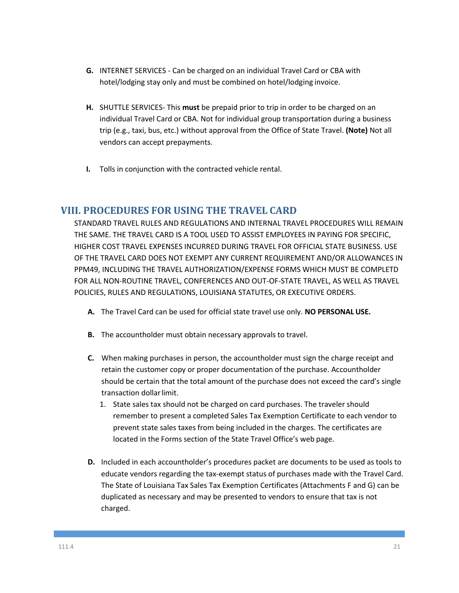- **G.** INTERNET SERVICES Can be charged on an individual Travel Card or CBA with hotel/lodging stay only and must be combined on hotel/lodging invoice.
- **H.** SHUTTLE SERVICES- This **must** be prepaid prior to trip in order to be charged on an individual Travel Card or CBA. Not for individual group transportation during a business trip (e.g., taxi, bus, etc.) without approval from the Office of State Travel. **(Note)** Not all vendors can accept prepayments.
- **I.** Tolls in conjunction with the contracted vehicle rental.

## **VIII. PROCEDURES FOR USING THE TRAVEL CARD**

STANDARD TRAVEL RULES AND REGULATIONS AND INTERNAL TRAVEL PROCEDURES WILL REMAIN THE SAME. THE TRAVEL CARD IS A TOOL USED TO ASSIST EMPLOYEES IN PAYING FOR SPECIFIC, HIGHER COST TRAVEL EXPENSES INCURRED DURING TRAVEL FOR OFFICIAL STATE BUSINESS. USE OF THE TRAVEL CARD DOES NOT EXEMPT ANY CURRENT REQUIREMENT AND/OR ALLOWANCES IN PPM49, INCLUDING THE TRAVEL AUTHORIZATION/EXPENSE FORMS WHICH MUST BE COMPLETD FOR ALL NON-ROUTINE TRAVEL, CONFERENCES AND OUT-OF-STATE TRAVEL, AS WELL AS TRAVEL POLICIES, RULES AND REGULATIONS, LOUISIANA STATUTES, OR EXECUTIVE ORDERS.

- **A.** The Travel Card can be used for official state travel use only. **NO PERSONAL USE.**
- **B.** The accountholder must obtain necessary approvals to travel.
- **C.** When making purchases in person, the accountholder must sign the charge receipt and retain the customer copy or proper documentation of the purchase. Accountholder should be certain that the total amount of the purchase does not exceed the card's single transaction dollarlimit.
	- 1. State sales tax should not be charged on card purchases. The traveler should remember to present a completed Sales Tax Exemption Certificate to each vendor to prevent state sales taxes from being included in the charges. The certificates are located in the Forms section of the State Travel Office's web page.
- **D.** Included in each accountholder's procedures packet are documents to be used as tools to educate vendors regarding the tax-exempt status of purchases made with the Travel Card. The State of Louisiana Tax Sales Tax Exemption Certificates (Attachments F and G) can be duplicated as necessary and may be presented to vendors to ensure that tax is not charged.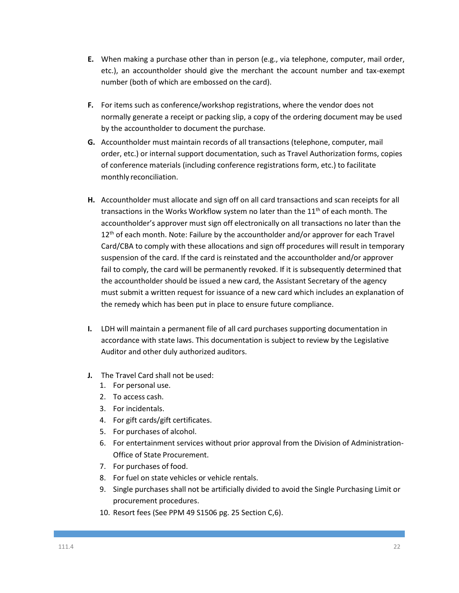- **E.** When making a purchase other than in person (e.g., via telephone, computer, mail order, etc.), an accountholder should give the merchant the account number and tax-exempt number (both of which are embossed on the card).
- **F.** For items such as conference/workshop registrations, where the vendor does not normally generate a receipt or packing slip, a copy of the ordering document may be used by the accountholder to document the purchase.
- **G.** Accountholder must maintain records of all transactions (telephone, computer, mail order, etc.) or internal support documentation, such as Travel Authorization forms, copies of conference materials (including conference registrations form, etc.) to facilitate monthly reconciliation.
- **H.** Accountholder must allocate and sign off on all card transactions and scan receipts for all transactions in the Works Workflow system no later than the  $11<sup>th</sup>$  of each month. The accountholder's approver must sign off electronically on all transactions no later than the 12<sup>th</sup> of each month. Note: Failure by the accountholder and/or approver for each Travel Card/CBA to comply with these allocations and sign off procedures will result in temporary suspension of the card. If the card is reinstated and the accountholder and/or approver fail to comply, the card will be permanently revoked. If it is subsequently determined that the accountholder should be issued a new card, the Assistant Secretary of the agency must submit a written request for issuance of a new card which includes an explanation of the remedy which has been put in place to ensure future compliance.
- **I.** LDH will maintain a permanent file of all card purchases supporting documentation in accordance with state laws. This documentation is subject to review by the Legislative Auditor and other duly authorized auditors.
- **J.** The Travel Card shall not be used:
	- 1. For personal use.
	- 2. To access cash.
	- 3. For incidentals.
	- 4. For gift cards/gift certificates.
	- 5. For purchases of alcohol.
	- 6. For entertainment services without prior approval from the Division of Administration-Office of State Procurement.
	- 7. For purchases of food.
	- 8. For fuel on state vehicles or vehicle rentals.
	- 9. Single purchases shall not be artificially divided to avoid the Single Purchasing Limit or procurement procedures.
	- 10. Resort fees (See PPM 49 S1506 pg. 25 Section C,6).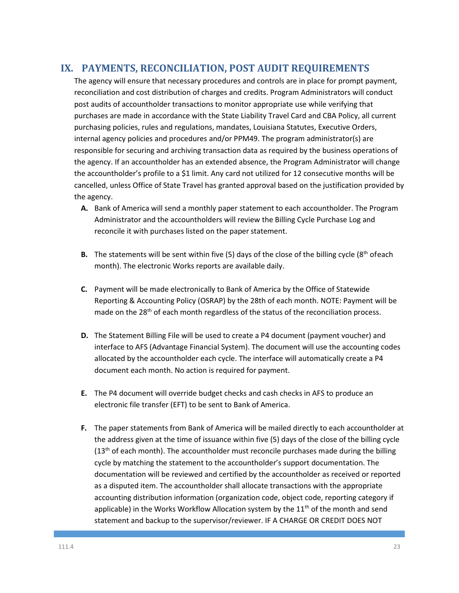# **IX. PAYMENTS, RECONCILIATION, POST AUDIT REQUIREMENTS**

The agency will ensure that necessary procedures and controls are in place for prompt payment, reconciliation and cost distribution of charges and credits. Program Administrators will conduct post audits of accountholder transactions to monitor appropriate use while verifying that purchases are made in accordance with the State Liability Travel Card and CBA Policy, all current purchasing policies, rules and regulations, mandates, Louisiana Statutes, Executive Orders, internal agency policies and procedures and/or PPM49. The program administrator(s) are responsible for securing and archiving transaction data as required by the business operations of the agency. If an accountholder has an extended absence, the Program Administrator will change the accountholder's profile to a \$1 limit. Any card not utilized for 12 consecutive months will be cancelled, unless Office of State Travel has granted approval based on the justification provided by the agency.

- **A.** Bank of America will send a monthly paper statement to each accountholder. The Program Administrator and the accountholders will review the Billing Cycle Purchase Log and reconcile it with purchases listed on the paper statement.
- **B.** The statements will be sent within five (5) days of the close of the billing cycle (8<sup>th</sup> ofeach month). The electronic Works reports are available daily.
- **C.** Payment will be made electronically to Bank of America by the Office of Statewide Reporting & Accounting Policy (OSRAP) by the 28th of each month. NOTE: Payment will be made on the 28<sup>th</sup> of each month regardless of the status of the reconciliation process.
- **D.** The Statement Billing File will be used to create a P4 document (payment voucher) and interface to AFS (Advantage Financial System). The document will use the accounting codes allocated by the accountholder each cycle. The interface will automatically create a P4 document each month. No action is required for payment.
- **E.** The P4 document will override budget checks and cash checks in AFS to produce an electronic file transfer (EFT) to be sent to Bank of America.
- **F.** The paper statements from Bank of America will be mailed directly to each accountholder at the address given at the time of issuance within five (5) days of the close of the billing cycle  $(13<sup>th</sup>$  of each month). The accountholder must reconcile purchases made during the billing cycle by matching the statement to the accountholder's support documentation. The documentation will be reviewed and certified by the accountholder as received or reported as a disputed item. The accountholder shall allocate transactions with the appropriate accounting distribution information (organization code, object code, reporting category if applicable) in the Works Workflow Allocation system by the  $11<sup>th</sup>$  of the month and send statement and backup to the supervisor/reviewer. IF A CHARGE OR CREDIT DOES NOT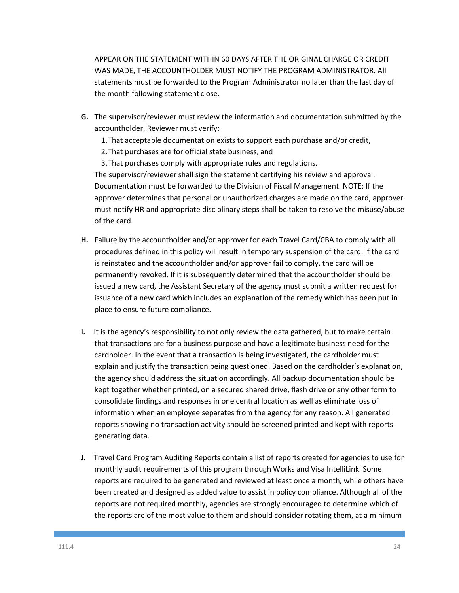APPEAR ON THE STATEMENT WITHIN 60 DAYS AFTER THE ORIGINAL CHARGE OR CREDIT WAS MADE, THE ACCOUNTHOLDER MUST NOTIFY THE PROGRAM ADMINISTRATOR. All statements must be forwarded to the Program Administrator no later than the last day of the month following statement close.

- **G.** The supervisor/reviewer must review the information and documentation submitted by the accountholder. Reviewer must verify:
	- 1.That acceptable documentation exists to support each purchase and/or credit,
	- 2.That purchases are for official state business, and
	- 3.That purchases comply with appropriate rules and regulations.

The supervisor/reviewer shall sign the statement certifying his review and approval. Documentation must be forwarded to the Division of Fiscal Management. NOTE: If the approver determines that personal or unauthorized charges are made on the card, approver must notify HR and appropriate disciplinary steps shall be taken to resolve the misuse/abuse of the card.

- **H.** Failure by the accountholder and/or approver for each Travel Card/CBA to comply with all procedures defined in this policy will result in temporary suspension of the card. If the card is reinstated and the accountholder and/or approver fail to comply, the card will be permanently revoked. If it is subsequently determined that the accountholder should be issued a new card, the Assistant Secretary of the agency must submit a written request for issuance of a new card which includes an explanation of the remedy which has been put in place to ensure future compliance.
- **I.** It is the agency's responsibility to not only review the data gathered, but to make certain that transactions are for a business purpose and have a legitimate business need for the cardholder. In the event that a transaction is being investigated, the cardholder must explain and justify the transaction being questioned. Based on the cardholder's explanation, the agency should address the situation accordingly. All backup documentation should be kept together whether printed, on a secured shared drive, flash drive or any other form to consolidate findings and responses in one central location as well as eliminate loss of information when an employee separates from the agency for any reason. All generated reports showing no transaction activity should be screened printed and kept with reports generating data.
- **J.** Travel Card Program Auditing Reports contain a list of reports created for agencies to use for monthly audit requirements of this program through Works and Visa IntelliLink. Some reports are required to be generated and reviewed at least once a month, while others have been created and designed as added value to assist in policy compliance. Although all of the reports are not required monthly, agencies are strongly encouraged to determine which of the reports are of the most value to them and should consider rotating them, at a minimum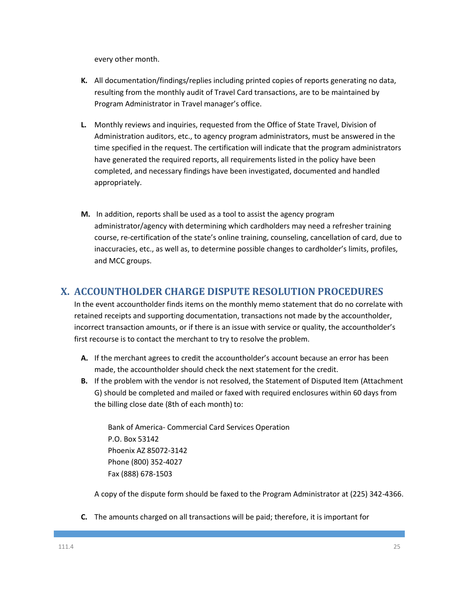every other month.

- **K.** All documentation/findings/replies including printed copies of reports generating no data, resulting from the monthly audit of Travel Card transactions, are to be maintained by Program Administrator in Travel manager's office.
- **L.** Monthly reviews and inquiries, requested from the Office of State Travel, Division of Administration auditors, etc., to agency program administrators, must be answered in the time specified in the request. The certification will indicate that the program administrators have generated the required reports, all requirements listed in the policy have been completed, and necessary findings have been investigated, documented and handled appropriately.
- **M.** In addition, reports shall be used as a tool to assist the agency program administrator/agency with determining which cardholders may need a refresher training course, re-certification of the state's online training, counseling, cancellation of card, due to inaccuracies, etc., as well as, to determine possible changes to cardholder's limits, profiles, and MCC groups.

# **X. ACCOUNTHOLDER CHARGE DISPUTE RESOLUTION PROCEDURES**

In the event accountholder finds items on the monthly memo statement that do no correlate with retained receipts and supporting documentation, transactions not made by the accountholder, incorrect transaction amounts, or if there is an issue with service or quality, the accountholder's first recourse is to contact the merchant to try to resolve the problem.

- **A.** If the merchant agrees to credit the accountholder's account because an error has been made, the accountholder should check the next statement for the credit.
- **B.** If the problem with the vendor is not resolved, the Statement of Disputed Item (Attachment G) should be completed and mailed or faxed with required enclosures within 60 days from the billing close date (8th of each month) to:

Bank of America- Commercial Card Services Operation P.O. Box 53142 Phoenix AZ 85072-3142 Phone (800) 352-4027 Fax (888) 678-1503

A copy of the dispute form should be faxed to the Program Administrator at (225) 342-4366.

**C.** The amounts charged on all transactions will be paid; therefore, it is important for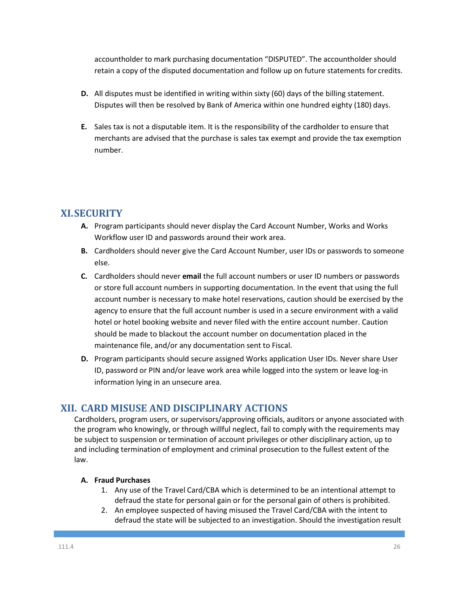accountholder to mark purchasing documentation "DISPUTED". The accountholder should retain a copy of the disputed documentation and follow up on future statements for credits.

- **D.** All disputes must be identified in writing within sixty (60) days of the billing statement. Disputes will then be resolved by Bank of America within one hundred eighty (180) days.
- **E.** Sales tax is not a disputable item. It is the responsibility of the cardholder to ensure that merchants are advised that the purchase is sales tax exempt and provide the tax exemption number.

# **XI.SECURITY**

- **A.** Program participants should never display the Card Account Number, Works and Works Workflow user ID and passwords around their work area.
- **B.** Cardholders should never give the Card Account Number, user IDs or passwords to someone else.
- **C.** Cardholders should never **email** the full account numbers or user ID numbers or passwords or store full account numbers in supporting documentation. In the event that using the full account number is necessary to make hotel reservations, caution should be exercised by the agency to ensure that the full account number is used in a secure environment with a valid hotel or hotel booking website and never filed with the entire account number. Caution should be made to blackout the account number on documentation placed in the maintenance file, and/or any documentation sent to Fiscal.
- **D.** Program participants should secure assigned Works application User IDs. Never share User ID, password or PIN and/or leave work area while logged into the system or leave log-in information lying in an unsecure area.

# **XII. CARD MISUSE AND DISCIPLINARY ACTIONS**

Cardholders, program users, or supervisors/approving officials, auditors or anyone associated with the program who knowingly, or through willful neglect, fail to comply with the requirements may be subject to suspension or termination of account privileges or other disciplinary action, up to and including termination of employment and criminal prosecution to the fullest extent of the law.

#### **A. Fraud Purchases**

- 1. Any use of the Travel Card/CBA which is determined to be an intentional attempt to defraud the state for personal gain or for the personal gain of others is prohibited.
- 2. An employee suspected of having misused the Travel Card/CBA with the intent to defraud the state will be subjected to an investigation. Should the investigation result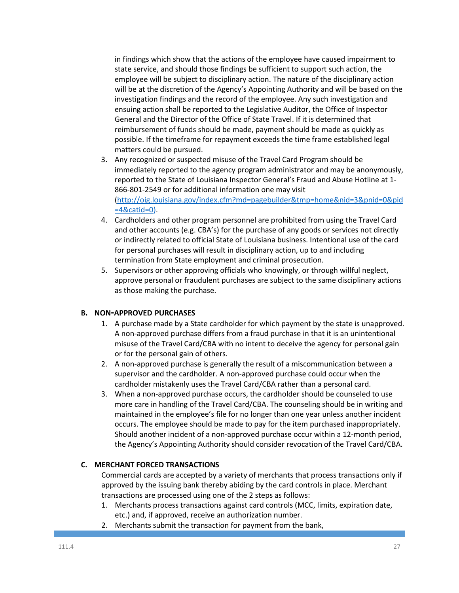in findings which show that the actions of the employee have caused impairment to state service, and should those findings be sufficient to support such action, the employee will be subject to disciplinary action. The nature of the disciplinary action will be at the discretion of the Agency's Appointing Authority and will be based on the investigation findings and the record of the employee. Any such investigation and ensuing action shall be reported to the Legislative Auditor, the Office of Inspector General and the Director of the Office of State Travel. If it is determined that reimbursement of funds should be made, payment should be made as quickly as possible. If the timeframe for repayment exceeds the time frame established legal matters could be pursued.

- 3. Any recognized or suspected misuse of the Travel Card Program should be immediately reported to the agency program administrator and may be anonymously, reported to the State of Louisiana Inspector General's Fraud and Abuse Hotline at 1‐ 866‐801‐2549 or for additional information one may visit [\(http://oig.louisiana.gov/index.cfm?md=pagebuilder&tmp=home&nid=3&pnid=0&pid](http://oig.louisiana.gov/index.cfm?md=pagebuilder&tmp=home&nid=3&pnid=0&pid=4&catid=0) [=4&catid=0\)](http://oig.louisiana.gov/index.cfm?md=pagebuilder&tmp=home&nid=3&pnid=0&pid=4&catid=0).
- 4. Cardholders and other program personnel are prohibited from using the Travel Card and other accounts (e.g. CBA's) for the purchase of any goods or services not directly or indirectly related to official State of Louisiana business. Intentional use of the card for personal purchases will result in disciplinary action, up to and including termination from State employment and criminal prosecution.
- 5. Supervisors or other approving officials who knowingly, or through willful neglect, approve personal or fraudulent purchases are subject to the same disciplinary actions as those making the purchase.

#### **B. NON-APPROVED PURCHASES**

- 1. A purchase made by a State cardholder for which payment by the state is unapproved. A non-approved purchase differs from a fraud purchase in that it is an unintentional misuse of the Travel Card/CBA with no intent to deceive the agency for personal gain or for the personal gain of others.
- 2. A non-approved purchase is generally the result of a miscommunication between a supervisor and the cardholder. A non-approved purchase could occur when the cardholder mistakenly uses the Travel Card/CBA rather than a personal card.
- 3. When a non-approved purchase occurs, the cardholder should be counseled to use more care in handling of the Travel Card/CBA. The counseling should be in writing and maintained in the employee's file for no longer than one year unless another incident occurs. The employee should be made to pay for the item purchased inappropriately. Should another incident of a non-approved purchase occur within a 12-month period, the Agency's Appointing Authority should consider revocation of the Travel Card/CBA.

#### **C. MERCHANT FORCED TRANSACTIONS**

Commercial cards are accepted by a variety of merchants that process transactions only if approved by the issuing bank thereby abiding by the card controls in place. Merchant transactions are processed using one of the 2 steps as follows:

- 1. Merchants process transactions against card controls (MCC, limits, expiration date, etc.) and, if approved, receive an authorization number.
- 2. Merchants submit the transaction for payment from the bank,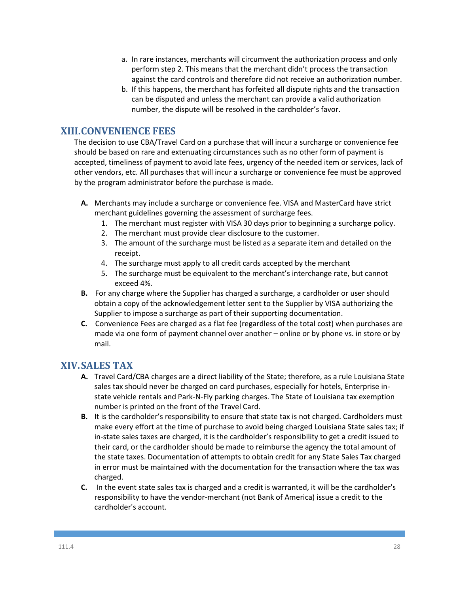- a. In rare instances, merchants will circumvent the authorization process and only perform step 2. This means that the merchant didn't process the transaction against the card controls and therefore did not receive an authorization number.
- b. If this happens, the merchant has forfeited all dispute rights and the transaction can be disputed and unless the merchant can provide a valid authorization number, the dispute will be resolved in the cardholder's favor.

## **XIII.CONVENIENCE FEES**

The decision to use CBA/Travel Card on a purchase that will incur a surcharge or convenience fee should be based on rare and extenuating circumstances such as no other form of payment is accepted, timeliness of payment to avoid late fees, urgency of the needed item or services, lack of other vendors, etc. All purchases that will incur a surcharge or convenience fee must be approved by the program administrator before the purchase is made.

- **A.** Merchants may include a surcharge or convenience fee. VISA and MasterCard have strict merchant guidelines governing the assessment of surcharge fees.
	- 1. The merchant must register with VISA 30 days prior to beginning a surcharge policy.
	- 2. The merchant must provide clear disclosure to the customer.
	- 3. The amount of the surcharge must be listed as a separate item and detailed on the receipt.
	- 4. The surcharge must apply to all credit cards accepted by the merchant
	- 5. The surcharge must be equivalent to the merchant's interchange rate, but cannot exceed 4%.
- **B.** For any charge where the Supplier has charged a surcharge, a cardholder or user should obtain a copy of the acknowledgement letter sent to the Supplier by VISA authorizing the Supplier to impose a surcharge as part of their supporting documentation.
- **C.** Convenience Fees are charged as a flat fee (regardless of the total cost) when purchases are made via one form of payment channel over another – online or by phone vs. in store or by mail.

# **XIV.SALES TAX**

- **A.** Travel Card/CBA charges are a direct liability of the State; therefore, as a rule Louisiana State sales tax should never be charged on card purchases, especially for hotels, Enterprise instate vehicle rentals and Park-N-Fly parking charges. The State of Louisiana tax exemption number is printed on the front of the Travel Card.
- **B.** It is the cardholder's responsibility to ensure that state tax is not charged. Cardholders must make every effort at the time of purchase to avoid being charged Louisiana State sales tax; if in-state sales taxes are charged, it is the cardholder's responsibility to get a credit issued to their card, or the cardholder should be made to reimburse the agency the total amount of the state taxes. Documentation of attempts to obtain credit for any State Sales Tax charged in error must be maintained with the documentation for the transaction where the tax was charged.
- **C.** In the event state sales tax is charged and a credit is warranted, it will be the cardholder's responsibility to have the vendor-merchant (not Bank of America) issue a credit to the cardholder's account.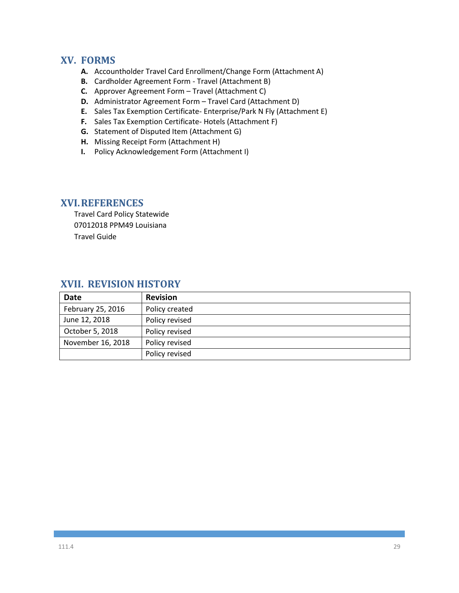### **XV. FORMS**

- **A.** Accountholder Travel Card Enrollment/Change Form (Attachment A)
- **B.** Cardholder Agreement Form Travel (Attachment B)
- **C.** Approver Agreement Form Travel (Attachment C)
- **D.** Administrator Agreement Form Travel Card (Attachment D)
- **E.** Sales Tax Exemption Certificate- Enterprise/Park N Fly (Attachment E)
- **F.** Sales Tax Exemption Certificate- Hotels (Attachment F)
- **G.** Statement of Disputed Item (Attachment G)
- **H.** Missing Receipt Form (Attachment H)
- **I.** Policy Acknowledgement Form (Attachment I)

## **XVI.REFERENCES**

Travel Card Policy Statewide 07012018 PPM49 Louisiana Travel Guide

# **XVII. REVISION HISTORY**

| <b>Date</b>       | <b>Revision</b> |
|-------------------|-----------------|
| February 25, 2016 | Policy created  |
| June 12, 2018     | Policy revised  |
| October 5, 2018   | Policy revised  |
| November 16, 2018 | Policy revised  |
|                   | Policy revised  |